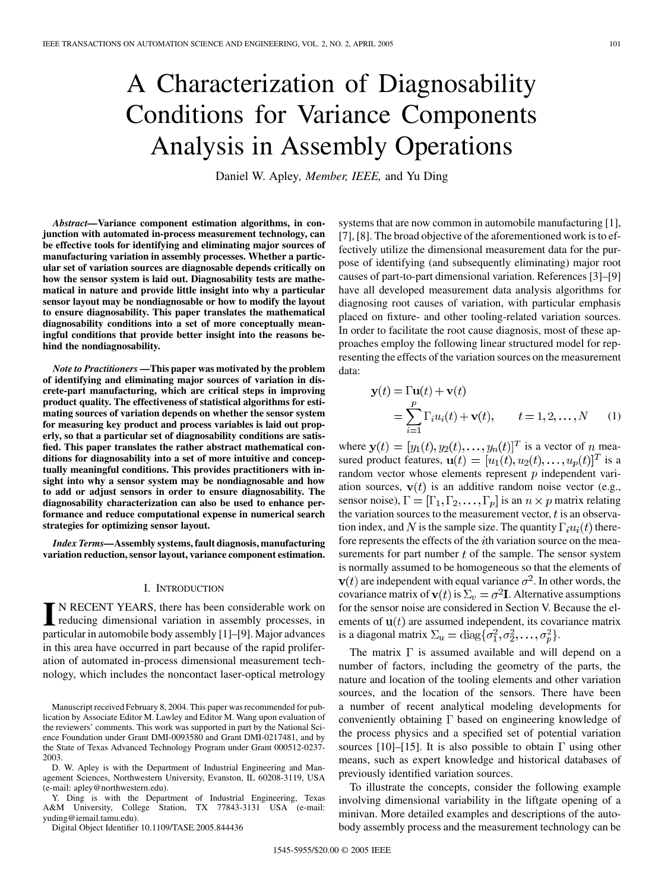# A Characterization of Diagnosability Conditions for Variance Components Analysis in Assembly Operations

Daniel W. Apley*, Member, IEEE,* and Yu Ding

*Abstract—***Variance component estimation algorithms, in conjunction with automated in-process measurement technology, can be effective tools for identifying and eliminating major sources of manufacturing variation in assembly processes. Whether a particular set of variation sources are diagnosable depends critically on how the sensor system is laid out. Diagnosability tests are mathematical in nature and provide little insight into why a particular sensor layout may be nondiagnosable or how to modify the layout to ensure diagnosability. This paper translates the mathematical diagnosability conditions into a set of more conceptually meaningful conditions that provide better insight into the reasons behind the nondiagnosability.**

*Note to Practitioners* **—This paper was motivated by the problem of identifying and eliminating major sources of variation in discrete-part manufacturing, which are critical steps in improving product quality. The effectiveness of statistical algorithms for estimating sources of variation depends on whether the sensor system for measuring key product and process variables is laid out properly, so that a particular set of diagnosability conditions are satisfied. This paper translates the rather abstract mathematical conditions for diagnosability into a set of more intuitive and conceptually meaningful conditions. This provides practitioners with insight into why a sensor system may be nondiagnosable and how to add or adjust sensors in order to ensure diagnosability. The diagnosability characterization can also be used to enhance performance and reduce computational expense in numerical search strategies for optimizing sensor layout.**

*Index Terms—***Assembly systems, fault diagnosis, manufacturing variation reduction, sensor layout, variance component estimation.**

## I. INTRODUCTION

**I** N RECENT YEARS, there has been considerable work on reducing dimensional variation in assembly processes, in particular in automobile body assembly [[1\]](#page-8-0)–[\[9](#page-8-0)]. Major advances in this area have occurred in part because of the rapid proliferation of automated in-process dimensional measurement technology, which includes the noncontact laser-optical metrology

Manuscript received February 8, 2004. This paper was recommended for publication by Associate Editor M. Lawley and Editor M. Wang upon evaluation of the reviewers' comments. This work was supported in part by the National Science Foundation under Grant DMI-0093580 and Grant DMI-0217481, and by the State of Texas Advanced Technology Program under Grant 000512-0237- 2003.

D. W. Apley is with the Department of Industrial Engineering and Management Sciences, Northwestern University, Evanston, IL 60208-3119, USA (e-mail: apley@northwestern.edu).

Y. Ding is with the Department of Industrial Engineering, Texas A&M University, College Station, TX 77843-3131 USA (e-mail: yuding@iemail.tamu.edu).

Digital Object Identifier 10.1109/TASE.2005.844436

systems that are now common in automobile manufacturing [\[1](#page-8-0)], [\[7](#page-8-0)], [\[8](#page-8-0)]. The broad objective of the aforementioned work is to effectively utilize the dimensional measurement data for the purpose of identifying (and subsequently eliminating) major root causes of part-to-part dimensional variation. References [\[3](#page-8-0)]–[[9\]](#page-8-0) have all developed measurement data analysis algorithms for diagnosing root causes of variation, with particular emphasis placed on fixture- and other tooling-related variation sources. In order to facilitate the root cause diagnosis, most of these approaches employ the following linear structured model for representing the effects of the variation sources on the measurement data:

$$
\mathbf{y}(t) = \Gamma \mathbf{u}(t) + \mathbf{v}(t)
$$
  
= 
$$
\sum_{i=1}^{p} \Gamma_i u_i(t) + \mathbf{v}(t), \qquad t = 1, 2, ..., N \qquad (1)
$$

where  $\mathbf{y}(t) = [y_1(t), y_2(t), \dots, y_n(t)]^T$  is a vector of n measured product features,  $\mathbf{u}(t) = [u_1(t), u_2(t), \dots, u_p(t)]^T$  is a random vector whose elements represent  $p$  independent variation sources,  $v(t)$  is an additive random noise vector (e.g., sensor noise),  $\Gamma = [\Gamma_1, \Gamma_2, \dots, \Gamma_p]$  is an  $n \times p$  matrix relating the variation sources to the measurement vector,  $t$  is an observation index, and N is the sample size. The quantity  $\Gamma_i u_i(t)$  therefore represents the effects of the *i*th variation source on the measurements for part number  $t$  of the sample. The sensor system is normally assumed to be homogeneous so that the elements of  $\mathbf{v}(t)$  are independent with equal variance  $\sigma^2$ . In other words, the covariance matrix of  $\mathbf{v}(t)$  is  $\Sigma_v = \sigma^2 \mathbf{I}$ . Alternative assumptions for the sensor noise are considered in Section V. Because the elements of  $\mathbf{u}(t)$  are assumed independent, its covariance matrix is a diagonal matrix  $\Sigma_u = \text{diag}\{\sigma_1^2, \sigma_2^2, \dots, \sigma_n^2\}.$ 

The matrix  $\Gamma$  is assumed available and will depend on a number of factors, including the geometry of the parts, the nature and location of the tooling elements and other variation sources, and the location of the sensors. There have been a number of recent analytical modeling developments for conveniently obtaining  $\Gamma$  based on engineering knowledge of the process physics and a specified set of potential variation sources [\[10](#page-8-0)]–[[15\]](#page-9-0). It is also possible to obtain  $\Gamma$  using other means, such as expert knowledge and historical databases of previously identified variation sources.

To illustrate the concepts, consider the following example involving dimensional variability in the liftgate opening of a minivan. More detailed examples and descriptions of the autobody assembly process and the measurement technology can be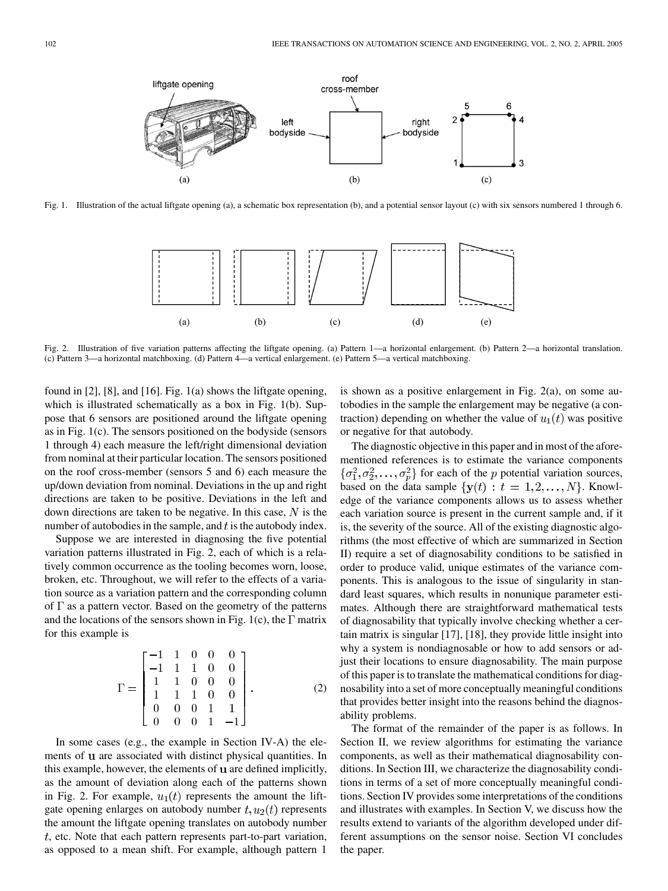right

bodyside

ี

 $(c)$ 

3

Fig. 1. Illustration of the actual liftgate opening (a), a schematic box representation (b), and a potential sensor layout (c) with six sensors numbered 1 through 6.

left

bodyside

 $\mathsf{r}\circ\circ\mathsf{f}$ 

cross-member

 $(b)$ 



Fig. 2. Illustration of five variation patterns affecting the liftgate opening. (a) Pattern 1—a horizontal enlargement. (b) Pattern 2—a horizontal translation. (c) Pattern 3—a horizontal matchboxing. (d) Pattern 4—a vertical enlargement. (e) Pattern 5—a vertical matchboxing.

found in [[2\]](#page-8-0), [\[8](#page-8-0)], and [[16\]](#page-9-0). Fig. 1(a) shows the liftgate opening, which is illustrated schematically as a box in Fig. 1(b). Suppose that 6 sensors are positioned around the liftgate opening as in Fig. 1(c). The sensors positioned on the bodyside (sensors 1 through 4) each measure the left/right dimensional deviation from nominal at their particular location. The sensors positioned on the roof cross-member (sensors 5 and 6) each measure the up/down deviation from nominal. Deviations in the up and right directions are taken to be positive. Deviations in the left and down directions are taken to be negative. In this case,  $N$  is the number of autobodies in the sample, and  $t$  is the autobody index.

liftgate opening

 $(a)$ 

Suppose we are interested in diagnosing the five potential variation patterns illustrated in Fig. 2, each of which is a relatively common occurrence as the tooling becomes worn, loose, broken, etc. Throughout, we will refer to the effects of a variation source as a variation pattern and the corresponding column of  $\Gamma$  as a pattern vector. Based on the geometry of the patterns and the locations of the sensors shown in Fig. 1(c), the  $\Gamma$  matrix for this example is

$$
\Gamma = \begin{bmatrix}\n-1 & 1 & 0 & 0 & 0 \\
-1 & 1 & 1 & 0 & 0 \\
1 & 1 & 0 & 0 & 0 \\
1 & 1 & 1 & 0 & 0 \\
0 & 0 & 0 & 1 & 1 \\
0 & 0 & 0 & 1 & -1\n\end{bmatrix}.
$$
\n(2)

In some cases (e.g., the example in Section IV-A) the elements of **u** are associated with distinct physical quantities. In this example, however, the elements of **u** are defined implicitly, as the amount of deviation along each of the patterns shown in Fig. 2. For example,  $u_1(t)$  represents the amount the liftgate opening enlarges on autobody number  $t, u_2(t)$  represents the amount the liftgate opening translates on autobody number  $t$ , etc. Note that each pattern represents part-to-part variation, as opposed to a mean shift. For example, although pattern 1

is shown as a positive enlargement in Fig. 2(a), on some autobodies in the sample the enlargement may be negative (a contraction) depending on whether the value of  $u_1(t)$  was positive or negative for that autobody.

The diagnostic objective in this paper and in most of the aforementioned references is to estimate the variance components  $\{\sigma_1^2, \sigma_2^2, \ldots, \sigma_p^2\}$  for each of the p potential variation sources, based on the data sample  $\{y(t): t = 1, 2, ..., N\}$ . Knowledge of the variance components allows us to assess whether each variation source is present in the current sample and, if it is, the severity of the source. All of the existing diagnostic algorithms (the most effective of which are summarized in Section II) require a set of diagnosability conditions to be satisfied in order to produce valid, unique estimates of the variance components. This is analogous to the issue of singularity in standard least squares, which results in nonunique parameter estimates. Although there are straightforward mathematical tests of diagnosability that typically involve checking whether a certain matrix is singular [[17\]](#page-9-0), [\[18](#page-9-0)], they provide little insight into why a system is nondiagnosable or how to add sensors or adjust their locations to ensure diagnosability. The main purpose of this paper is to translate the mathematical conditions for diagnosability into a set of more conceptually meaningful conditions that provides better insight into the reasons behind the diagnosability problems.

The format of the remainder of the paper is as follows. In Section II, we review algorithms for estimating the variance components, as well as their mathematical diagnosability conditions. In Section III, we characterize the diagnosability conditions in terms of a set of more conceptually meaningful conditions. Section IV provides some interpretations of the conditions and illustrates with examples. In Section V, we discuss how the results extend to variants of the algorithm developed under different assumptions on the sensor noise. Section VI concludes the paper.

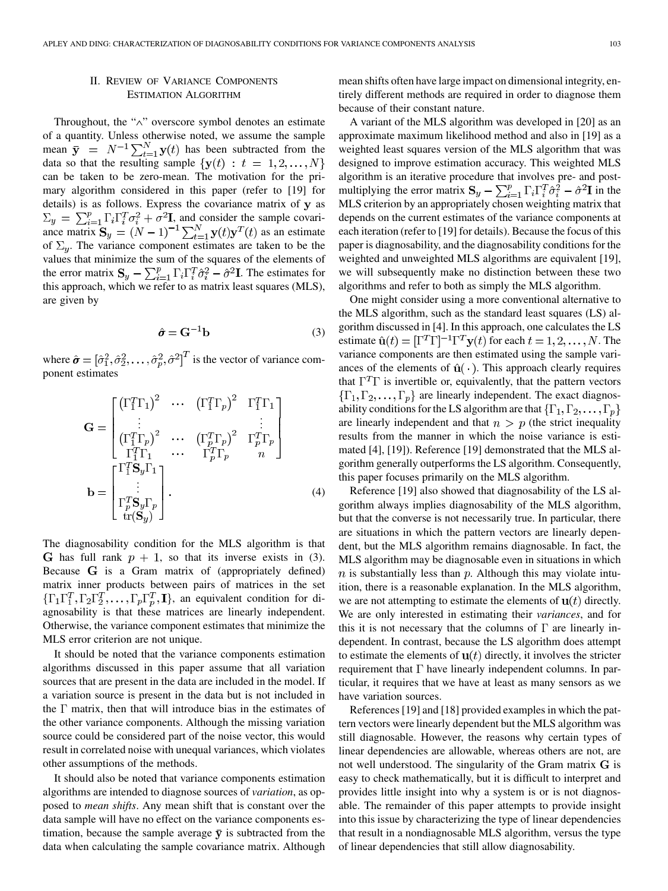# II. REVIEW OF VARIANCE COMPONENTS ESTIMATION ALGORITHM

Throughout, the "∧" overscore symbol denotes an estimate of a quantity. Unless otherwise noted, we assume the sample mean  $\bar{y} = N^{-1} \sum_{t=1}^{N} y(t)$  has been subtracted from the data so that the resulting sample  $\{y(t): t = 1, 2, ..., N\}$ can be taken to be zero-mean. The motivation for the primary algorithm considered in this paper (refer to [\[19](#page-9-0)] for details) is as follows. Express the covariance matrix of  $y$  as , and consider the sample covariance matrix  $S_y = (N-1)^{-1} \sum_{t=1}^{N} y(t)y^{T}(t)$  as an estimate of  $\Sigma_y$ . The variance component estimates are taken to be the values that minimize the sum of the squares of the elements of the error matrix  $S_y - \sum_{i=1}^p \Gamma_i \Gamma_i^T \hat{\sigma}_i^2 - \hat{\sigma}^2 I$ . The estimates for this approach, which we refer to as matrix least squares (MLS), are given by

$$
\hat{\sigma} = \mathbf{G}^{-1} \mathbf{b} \tag{3}
$$

where  $\hat{\sigma} = [\hat{\sigma}_1^2, \hat{\sigma}_2^2, \dots, \hat{\sigma}_p^2, \hat{\sigma}^2]^T$  is the vector of variance component estimates

$$
\mathbf{G} = \begin{bmatrix} (\Gamma_1^T \Gamma_1)^2 & \cdots & (\Gamma_1^T \Gamma_p)^2 & \Gamma_1^T \Gamma_1 \\ \vdots & & & \vdots \\ (\Gamma_1^T \Gamma_p)^2 & \cdots & (\Gamma_p^T \Gamma_p)^2 & \Gamma_p^T \Gamma_p \\ \Gamma_1^T \Gamma_1 & \cdots & \Gamma_p^T \Gamma_p & n \end{bmatrix}
$$

$$
\mathbf{b} = \begin{bmatrix} \Gamma_1^T \mathbf{S}_y \Gamma_1 \\ \vdots \\ \Gamma_p^T \mathbf{S}_y \Gamma_p \\ \vdots \\ \Gamma_r(\mathbf{S}_y) \end{bmatrix} .
$$
(4)

The diagnosability condition for the MLS algorithm is that G has full rank  $p + 1$ , so that its inverse exists in (3). Because  $G$  is a Gram matrix of (appropriately defined) matrix inner products between pairs of matrices in the set  $\{\Gamma_1\Gamma_1^T,\Gamma_2\Gamma_2^T,\ldots,\Gamma_p\Gamma_p^T,\mathbf{I}\}\$ , an equivalent condition for diagnosability is that these matrices are linearly independent. Otherwise, the variance component estimates that minimize the MLS error criterion are not unique.

It should be noted that the variance components estimation algorithms discussed in this paper assume that all variation sources that are present in the data are included in the model. If a variation source is present in the data but is not included in the  $\Gamma$  matrix, then that will introduce bias in the estimates of the other variance components. Although the missing variation source could be considered part of the noise vector, this would result in correlated noise with unequal variances, which violates other assumptions of the methods.

It should also be noted that variance components estimation algorithms are intended to diagnose sources of *variation*, as opposed to *mean shifts*. Any mean shift that is constant over the data sample will have no effect on the variance components estimation, because the sample average  $\bar{y}$  is subtracted from the data when calculating the sample covariance matrix. Although mean shifts often have large impact on dimensional integrity, entirely different methods are required in order to diagnose them because of their constant nature.

A variant of the MLS algorithm was developed in [[20\]](#page-9-0) as an approximate maximum likelihood method and also in [\[19](#page-9-0)] as a weighted least squares version of the MLS algorithm that was designed to improve estimation accuracy. This weighted MLS algorithm is an iterative procedure that involves pre- and postmultiplying the error matrix  $S_y - \sum_{i=1}^p \Gamma_i \Gamma_i^T \hat{\sigma}_i^2 - \hat{\sigma}^2 \mathbf{I}$  in the MLS criterion by an appropriately chosen weighting matrix that depends on the current estimates of the variance components at each iteration (refer to [\[19](#page-9-0)] for details). Because the focus of this paper is diagnosability, and the diagnosability conditions for the weighted and unweighted MLS algorithms are equivalent [\[19](#page-9-0)], we will subsequently make no distinction between these two algorithms and refer to both as simply the MLS algorithm.

One might consider using a more conventional alternative to the MLS algorithm, such as the standard least squares (LS) algorithm discussed in [\[4](#page-8-0)]. In this approach, one calculates the LS estimate  $\hat{\mathbf{u}}(t) = [\Gamma^T \Gamma]^{-1} \Gamma^T \mathbf{y}(t)$  for each  $t = 1, 2, ..., N$ . The variance components are then estimated using the sample variances of the elements of  $\hat{u}(\cdot)$ . This approach clearly requires that  $\Gamma^T \Gamma$  is invertible or, equivalently, that the pattern vectors  $\{\Gamma_1, \Gamma_2, \ldots, \Gamma_p\}$  are linearly independent. The exact diagnosability conditions for the LS algorithm are that  $\{\Gamma_1, \Gamma_2, \ldots, \Gamma_p\}$ are linearly independent and that  $n > p$  (the strict inequality results from the manner in which the noise variance is estimated [\[4](#page-8-0)], [[19\]](#page-9-0)). Reference [\[19](#page-9-0)] demonstrated that the MLS algorithm generally outperforms the LS algorithm. Consequently, this paper focuses primarily on the MLS algorithm.

Reference [\[19](#page-9-0)] also showed that diagnosability of the LS algorithm always implies diagnosability of the MLS algorithm, but that the converse is not necessarily true. In particular, there are situations in which the pattern vectors are linearly dependent, but the MLS algorithm remains diagnosable. In fact, the MLS algorithm may be diagnosable even in situations in which  $n$  is substantially less than  $p$ . Although this may violate intuition, there is a reasonable explanation. In the MLS algorithm, we are not attempting to estimate the elements of  $\mathbf{u}(t)$  directly. We are only interested in estimating their *variances*, and for this it is not necessary that the columns of  $\Gamma$  are linearly independent. In contrast, because the LS algorithm does attempt to estimate the elements of  $\mathbf{u}(t)$  directly, it involves the stricter requirement that  $\Gamma$  have linearly independent columns. In particular, it requires that we have at least as many sensors as we have variation sources.

References [\[19](#page-9-0)] and [\[18](#page-9-0)] provided examples in which the pattern vectors were linearly dependent but the MLS algorithm was still diagnosable. However, the reasons why certain types of linear dependencies are allowable, whereas others are not, are not well understood. The singularity of the Gram matrix  **is** easy to check mathematically, but it is difficult to interpret and provides little insight into why a system is or is not diagnosable. The remainder of this paper attempts to provide insight into this issue by characterizing the type of linear dependencies that result in a nondiagnosable MLS algorithm, versus the type of linear dependencies that still allow diagnosability.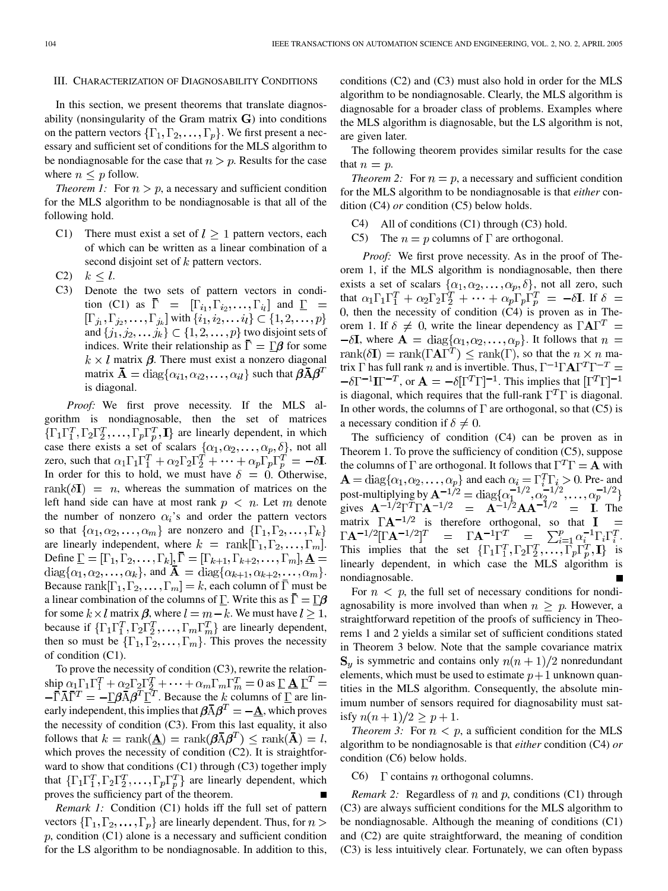## III. CHARACTERIZATION OF DIAGNOSABILITY CONDITIONS

In this section, we present theorems that translate diagnosability (nonsingularity of the Gram matrix  $\bf{G}$ ) into conditions on the pattern vectors  $\{\Gamma_1, \Gamma_2, \ldots, \Gamma_p\}$ . We first present a necessary and sufficient set of conditions for the MLS algorithm to be nondiagnosable for the case that  $n > p$ . Results for the case where  $n \leq p$  follow.

*Theorem 1:* For  $n > p$ , a necessary and sufficient condition for the MLS algorithm to be nondiagnosable is that all of the following hold.

- C1) There must exist a set of  $l > 1$  pattern vectors, each of which can be written as a linear combination of a second disjoint set of  $k$  pattern vectors.
- C2)  $k < l$ .
- C3) Denote the two sets of pattern vectors in condition (C1) as  $\overline{\Gamma} = [\Gamma_{i_1}, \Gamma_{i_2}, \ldots, \Gamma_{i_l}]$  and  $\underline{\Gamma} =$  $[\Gamma_{j_1}, \Gamma_{j_2}, \ldots, \Gamma_{j_k}]$  with  $\{i_1, i_2, \ldots i_l\} \subset \{1, 2, \ldots, p\}$ and  $\{j_1, j_2, \ldots, j_k\} \subset \{1, 2, \ldots, p\}$  two disjoint sets of indices. Write their relationship as  $\overline{\Gamma} = \underline{\Gamma} \beta$  for some  $k \times l$  matrix  $\beta$ . There must exist a nonzero diagonal matrix  $\mathbf{A} = \text{diag}\{\alpha_{i1}, \alpha_{i2}, \dots, \alpha_{il}\}\$  such that  $\beta \bar{A} \beta^T$ is diagonal.

*Proof:* We first prove necessity. If the MLS algorithm is nondiagnosable, then the set of matrices  $\{\Gamma_1\Gamma_1^T,\Gamma_2\Gamma_2^T,\ldots,\Gamma_p\Gamma_p^T,\mathbf{I}\}\$  are linearly dependent, in which case there exists a set of scalars  $\{\alpha_1, \alpha_2, \dots, \alpha_p, \delta\}$ , not all zero, such that  $\alpha_1 \Gamma_1 \Gamma_1^T + \alpha_2 \Gamma_2 \Gamma_2^T + \cdots + \alpha_p \Gamma_p \Gamma_p^T = -\delta I$ . In order for this to hold, we must have  $\delta = 0$ . Otherwise,  $rank(\delta I) = n$ , whereas the summation of matrices on the left hand side can have at most rank  $p \leq n$ . Let m denote the number of nonzero  $\alpha_i$ 's and order the pattern vectors so that  $\{\alpha_1, \alpha_2, \ldots, \alpha_m\}$  are nonzero and  $\{\Gamma_1, \Gamma_2, \ldots, \Gamma_k\}$ are linearly independent, where  $k = \text{rank}[\Gamma_1, \Gamma_2, \dots, \Gamma_m].$ Define  $\underline{\Gamma} = [\Gamma_1, \Gamma_2, \dots, \Gamma_k], \overline{\Gamma} = [\Gamma_{k+1}, \Gamma_{k+2}, \dots, \Gamma_m], \underline{A} =$  $\text{diag}\{\alpha_1, \alpha_2, \ldots, \alpha_k\},\$  and  $\bar{\mathbf{A}} = \text{diag}\{\alpha_{k+1}, \alpha_{k+2}, \ldots, \alpha_m\}.$ Because rank $[\Gamma_1, \Gamma_2, \dots, \Gamma_m] = k$ , each column of  $\Gamma$  must be a linear combination of the columns of  $\underline{\Gamma}$ . Write this as  $\overline{\Gamma} = \underline{\Gamma} \beta$ for some  $k \times l$  matrix  $\beta$ , where  $l = m - k$ . We must have  $l > 1$ , because if  $\{\Gamma_1\Gamma_1^T, \Gamma_2\Gamma_2^T, \dots, \Gamma_m\Gamma_m^T\}$  are linearly dependent, then so must be  $\{\Gamma_1, \Gamma_2, \dots, \Gamma_m\}$ . This proves the necessity of condition (C1).

To prove the necessity of condition (C3), rewrite the relationship  $\alpha_1 \Gamma_1 \Gamma_1^T + \alpha_2 \Gamma_2 \Gamma_2^T + \cdots + \alpha_m \Gamma_m \Gamma_m^T = 0$  as . Because the k columns of  $\underline{\Gamma}$  are linearly independent, this implies that  $\beta \overline{A} \beta^T = -\underline{A}$ , which proves the necessity of condition (C3). From this last equality, it also follows that  $k = \text{rank}(\mathbf{\underline{A}}) = \text{rank}(\boldsymbol{\beta} \overline{A} \boldsymbol{\beta}^T) \leq \text{rank}(\overline{A}) = l$ , which proves the necessity of condition (C2). It is straightforward to show that conditions (C1) through (C3) together imply that  $\{\Gamma_1\Gamma_1^T, \Gamma_2\Gamma_2^T, \dots, \Gamma_p\Gamma_p^T\}$  are linearly dependent, which proves the sufficiency part of the theorem.

*Remark 1:* Condition (C1) holds iff the full set of pattern vectors  $\{\Gamma_1, \Gamma_2, \ldots, \Gamma_p\}$  are linearly dependent. Thus, for  $n >$  $p$ , condition (C1) alone is a necessary and sufficient condition for the LS algorithm to be nondiagnosable. In addition to this, conditions (C2) and (C3) must also hold in order for the MLS algorithm to be nondiagnosable. Clearly, the MLS algorithm is diagnosable for a broader class of problems. Examples where the MLS algorithm is diagnosable, but the LS algorithm is not, are given later.

The following theorem provides similar results for the case that  $n = p$ .

*Theorem 2:* For  $n = p$ , a necessary and sufficient condition for the MLS algorithm to be nondiagnosable is that *either* condition (C4) *or* condition (C5) below holds.

- C4) All of conditions (C1) through (C3) hold.
- C5) The  $n = p$  columns of  $\Gamma$  are orthogonal.

*Proof:* We first prove necessity. As in the proof of Theorem 1, if the MLS algorithm is nondiagnosable, then there exists a set of scalars  $\{\alpha_1, \alpha_2, \dots, \alpha_p, \delta\}$ , not all zero, such that  $\alpha_1 \Gamma_1 \Gamma_1^T + \alpha_2 \Gamma_2 \Gamma_2^T + \cdots + \alpha_p \Gamma_p \Gamma_p^T = -\delta I$ . If  $\delta =$  $0$ , then the necessity of condition  $(C4)$  is proven as in Theorem 1. If  $\delta \neq 0$ , write the linear dependency as  $\Gamma A \Gamma^T =$  $-\delta I$ , where  $A = \text{diag}\{\alpha_1, \alpha_2, \dots, \alpha_p\}$ . It follows that  $n =$ rank $(\delta \mathbf{I})$  = rank $(\Gamma \mathbf{A} \Gamma^T) \leq \text{rank}(\Gamma)$ , so that the  $n \times n$  matrix  $\Gamma$  has full rank n and is invertible. Thus,  $\Gamma^{-1} \Gamma A \Gamma^{T} \Gamma^{-T} =$  $-\delta\Gamma^{-1}\Gamma^{-T}$ , or  $\mathbf{A} = -\delta[\Gamma^{T}\Gamma]^{-1}$ . This implies that  $[\Gamma^{T}\Gamma]^{-1}$ is diagonal, which requires that the full-rank  $\Gamma^T \Gamma$  is diagonal. In other words, the columns of  $\Gamma$  are orthogonal, so that (C5) is a necessary condition if  $\delta \neq 0$ .

The sufficiency of condition (C4) can be proven as in Theorem 1. To prove the sufficiency of condition (C5), suppose the columns of  $\Gamma$  are orthogonal. It follows that  $\Gamma^T \Gamma = \mathbf{A}$  with and each  $\alpha_i = \Gamma_i^T \Gamma_i > 0$ . Pre- and post-multiplying by gives  $A^{-1/2}\Gamma^T\Gamma A^{-1/2} = A^{-1/2}AA^{-1/2} = I$ . The matrix  $\Gamma A^{-1/2}$  is therefore orthogonal, so that **I**  $\Gamma \mathbf{A}^{-1/2}[\Gamma \mathbf{A}^{-1/2}]^T = \Gamma \mathbf{A}^{-1} \Gamma^T = \sum_{i=1}^p \alpha_i^{-1} \Gamma_i \Gamma_i^T.$ This implies that the set  $\{\Gamma_1\Gamma_1^T,\Gamma_2\Gamma_2^T,\ldots,\Gamma_p\Gamma_p^T,\mathbf{I}\}\$  is linearly dependent, in which case the MLS algorithm is nondiagnosable.

For  $n < p$ , the full set of necessary conditions for nondiagnosability is more involved than when  $n \geq p$ . However, a straightforward repetition of the proofs of sufficiency in Theorems 1 and 2 yields a similar set of sufficient conditions stated in Theorem 3 below. Note that the sample covariance matrix  $S_{\nu}$  is symmetric and contains only  $n(n+1)/2$  nonredundant elements, which must be used to estimate  $p+1$  unknown quantities in the MLS algorithm. Consequently, the absolute minimum number of sensors required for diagnosability must satisfy  $n(n + 1)/2 \ge p + 1$ .

*Theorem 3:* For  $n < p$ , a sufficient condition for the MLS algorithm to be nondiagnosable is that *either* condition (C4) *or* condition (C6) below holds.

## C6)  $\Gamma$  contains *n* orthogonal columns.

*Remark 2:* Regardless of  $n$  and  $p$ , conditions (C1) through (C3) are always sufficient conditions for the MLS algorithm to be nondiagnosable. Although the meaning of conditions (C1) and (C2) are quite straightforward, the meaning of condition (C3) is less intuitively clear. Fortunately, we can often bypass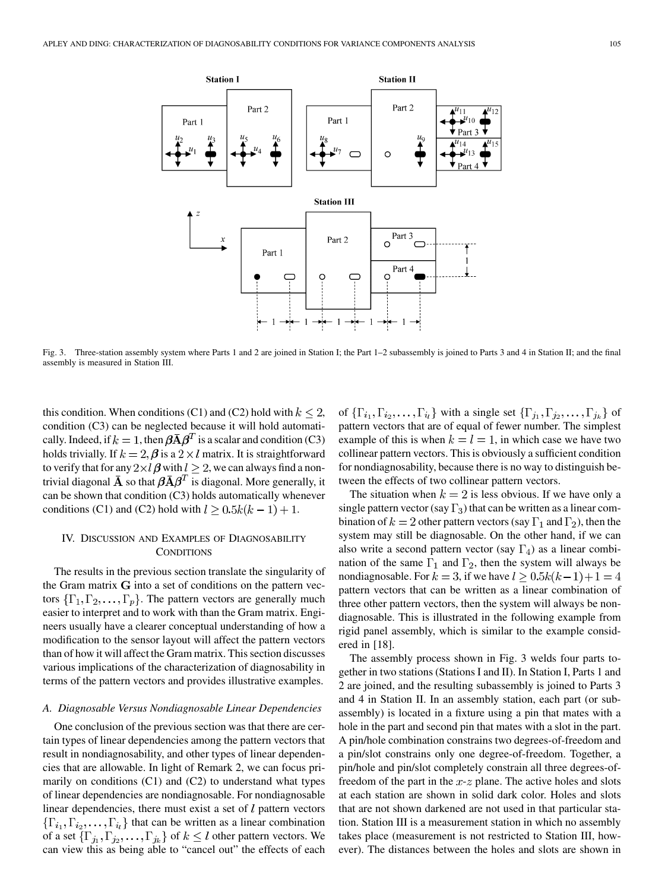

Fig. 3. Three-station assembly system where Parts 1 and 2 are joined in Station I; the Part 1–2 subassembly is joined to Parts 3 and 4 in Station II; and the final assembly is measured in Station III.

this condition. When conditions (C1) and (C2) hold with  $k \leq 2$ , condition (C3) can be neglected because it will hold automatically. Indeed, if  $k = 1$ , then  $\beta \overline{A} \beta^T$  is a scalar and condition (C3) holds trivially. If  $k = 2$ ,  $\beta$  is a  $2 \times l$  matrix. It is straightforward to verify that for any  $2\times l$   $\beta$  with  $l \geq 2$ , we can always find a nontrivial diagonal  $\bar{\mathbf{A}}$  so that  $\beta \bar{\mathbf{A}} \beta^T$  is diagonal. More generally, it can be shown that condition (C3) holds automatically whenever conditions (C1) and (C2) hold with  $l \ge 0.5k(k-1) + 1$ .

## IV. DISCUSSION AND EXAMPLES OF DIAGNOSABILITY **CONDITIONS**

The results in the previous section translate the singularity of the Gram matrix  $G$  into a set of conditions on the pattern vectors  $\{\Gamma_1, \Gamma_2, \ldots, \Gamma_p\}$ . The pattern vectors are generally much easier to interpret and to work with than the Gram matrix. Engineers usually have a clearer conceptual understanding of how a modification to the sensor layout will affect the pattern vectors than of how it will affect the Gram matrix. This section discusses various implications of the characterization of diagnosability in terms of the pattern vectors and provides illustrative examples.

# *A. Diagnosable Versus Nondiagnosable Linear Dependencies*

One conclusion of the previous section was that there are certain types of linear dependencies among the pattern vectors that result in nondiagnosability, and other types of linear dependencies that are allowable. In light of Remark 2, we can focus primarily on conditions  $(C1)$  and  $(C2)$  to understand what types of linear dependencies are nondiagnosable. For nondiagnosable linear dependencies, there must exist a set of  $l$  pattern vectors  $\{\Gamma_{i_1}, \Gamma_{i_2}, \ldots, \Gamma_{i_l}\}\$  that can be written as a linear combination of a set  $\{\Gamma_{j_1}, \Gamma_{j_2}, \ldots, \Gamma_{j_k}\}$  of  $k \leq l$  other pattern vectors. We can view this as being able to "cancel out" the effects of each

of  $\{\Gamma_{i_1}, \Gamma_{i_2}, \ldots, \Gamma_{i_l}\}$  with a single set  $\{\Gamma_{j_1}, \Gamma_{j_2}, \ldots, \Gamma_{j_k}\}$  of pattern vectors that are of equal of fewer number. The simplest example of this is when  $k = l = 1$ , in which case we have two collinear pattern vectors. This is obviously a sufficient condition for nondiagnosability, because there is no way to distinguish between the effects of two collinear pattern vectors.

The situation when  $k = 2$  is less obvious. If we have only a single pattern vector (say  $\Gamma_3$ ) that can be written as a linear combination of  $k = 2$  other pattern vectors (say  $\Gamma_1$  and  $\Gamma_2$ ), then the system may still be diagnosable. On the other hand, if we can also write a second pattern vector (say  $\Gamma_4$ ) as a linear combination of the same  $\Gamma_1$  and  $\Gamma_2$ , then the system will always be nondiagnosable. For  $k = 3$ , if we have  $l \ge 0.5k(k-1)+1 = 4$ pattern vectors that can be written as a linear combination of three other pattern vectors, then the system will always be nondiagnosable. This is illustrated in the following example from rigid panel assembly, which is similar to the example considered in [\[18](#page-9-0)].

The assembly process shown in Fig. 3 welds four parts together in two stations (Stations I and II). In Station I, Parts 1 and 2 are joined, and the resulting subassembly is joined to Parts 3 and 4 in Station II. In an assembly station, each part (or subassembly) is located in a fixture using a pin that mates with a hole in the part and second pin that mates with a slot in the part. A pin/hole combination constrains two degrees-of-freedom and a pin/slot constrains only one degree-of-freedom. Together, a pin/hole and pin/slot completely constrain all three degrees-offreedom of the part in the  $x-z$  plane. The active holes and slots at each station are shown in solid dark color. Holes and slots that are not shown darkened are not used in that particular station. Station III is a measurement station in which no assembly takes place (measurement is not restricted to Station III, however). The distances between the holes and slots are shown in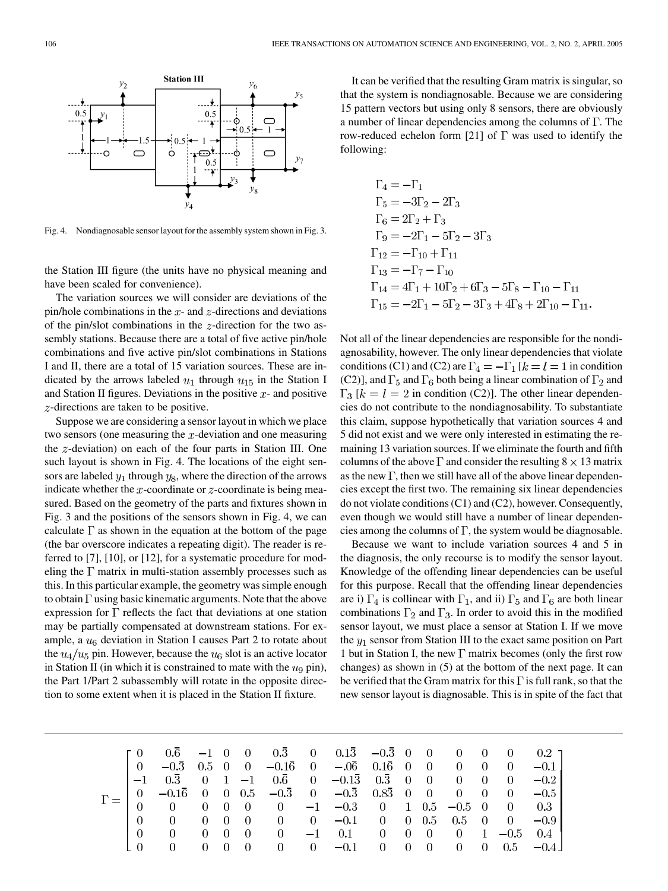

**Station III** 

Fig. 4. Nondiagnosable sensor layout for the assembly system shown in Fig. 3.

the Station III figure (the units have no physical meaning and have been scaled for convenience).

The variation sources we will consider are deviations of the pin/hole combinations in the  $x$ - and  $z$ -directions and deviations of the pin/slot combinations in the  $z$ -direction for the two assembly stations. Because there are a total of five active pin/hole combinations and five active pin/slot combinations in Stations I and II, there are a total of 15 variation sources. These are indicated by the arrows labeled  $u_1$  through  $u_{15}$  in the Station I and Station II figures. Deviations in the positive  $x$ - and positive  $z$ -directions are taken to be positive.

Suppose we are considering a sensor layout in which we place two sensors (one measuring the  $x$ -deviation and one measuring the  $z$ -deviation) on each of the four parts in Station III. One such layout is shown in Fig. 4. The locations of the eight sensors are labeled  $y_1$  through  $y_8$ , where the direction of the arrows indicate whether the x-coordinate or  $z$ -coordinate is being measured. Based on the geometry of the parts and fixtures shown in Fig. 3 and the positions of the sensors shown in Fig. 4, we can calculate  $\Gamma$  as shown in the equation at the bottom of the page (the bar overscore indicates a repeating digit). The reader is referred to [[7\]](#page-8-0), [\[10](#page-8-0)], or [[12\]](#page-9-0), for a systematic procedure for modeling the  $\Gamma$  matrix in multi-station assembly processes such as this. In this particular example, the geometry was simple enough to obtain  $\Gamma$  using basic kinematic arguments. Note that the above expression for  $\Gamma$  reflects the fact that deviations at one station may be partially compensated at downstream stations. For example, a  $u<sub>6</sub>$  deviation in Station I causes Part 2 to rotate about the  $u_4/u_5$  pin. However, because the  $u_6$  slot is an active locator in Station II (in which it is constrained to mate with the  $u_9$  pin), the Part 1/Part 2 subassembly will rotate in the opposite direction to some extent when it is placed in the Station II fixture.

It can be verified that the resulting Gram matrix is singular, so that the system is nondiagnosable. Because we are considering 15 pattern vectors but using only 8 sensors, there are obviously a number of linear dependencies among the columns of  $\Gamma$ . The row-reduced echelon form [[21\]](#page-9-0) of  $\Gamma$  was used to identify the following:

$$
\Gamma_4 = -\Gamma_1
$$
  
\n
$$
\Gamma_5 = -3\Gamma_2 - 2\Gamma_3
$$
  
\n
$$
\Gamma_6 = 2\Gamma_2 + \Gamma_3
$$
  
\n
$$
\Gamma_9 = -2\Gamma_1 - 5\Gamma_2 - 3\Gamma_3
$$
  
\n
$$
\Gamma_{12} = -\Gamma_{10} + \Gamma_{11}
$$
  
\n
$$
\Gamma_{13} = -\Gamma_7 - \Gamma_{10}
$$
  
\n
$$
\Gamma_{14} = 4\Gamma_1 + 10\Gamma_2 + 6\Gamma_3 - 5\Gamma_8 - \Gamma_{10} - \Gamma_{11}
$$
  
\n
$$
\Gamma_{15} = -2\Gamma_1 - 5\Gamma_2 - 3\Gamma_3 + 4\Gamma_8 + 2\Gamma_{10} - \Gamma_{11}
$$

Not all of the linear dependencies are responsible for the nondiagnosability, however. The only linear dependencies that violate conditions (C1) and (C2) are  $\Gamma_4 = -\Gamma_1 [k] = l = 1$  in condition (C2)], and  $\Gamma_5$  and  $\Gamma_6$  both being a linear combination of  $\Gamma_2$  and  $\Gamma_3$  [ $k = l = 2$  in condition (C2)]. The other linear dependencies do not contribute to the nondiagnosability. To substantiate this claim, suppose hypothetically that variation sources 4 and 5 did not exist and we were only interested in estimating the remaining 13 variation sources. If we eliminate the fourth and fifth columns of the above  $\Gamma$  and consider the resulting  $8 \times 13$  matrix as the new  $\Gamma$ , then we still have all of the above linear dependencies except the first two. The remaining six linear dependencies do not violate conditions (C1) and (C2), however. Consequently, even though we would still have a number of linear dependencies among the columns of  $\Gamma$ , the system would be diagnosable.

Because we want to include variation sources 4 and 5 in the diagnosis, the only recourse is to modify the sensor layout. Knowledge of the offending linear dependencies can be useful for this purpose. Recall that the offending linear dependencies are i)  $\Gamma_4$  is collinear with  $\Gamma_1$ , and ii)  $\Gamma_5$  and  $\Gamma_6$  are both linear combinations  $\Gamma_2$  and  $\Gamma_3$ . In order to avoid this in the modified sensor layout, we must place a sensor at Station I. If we move the  $y_1$  sensor from Station III to the exact same position on Part 1 but in Station I, the new  $\Gamma$  matrix becomes (only the first row changes) as shown in (5) at the bottom of the next page. It can be verified that the Gram matrix for this  $\Gamma$  is full rank, so that the new sensor layout is diagnosable. This is in spite of the fact that

$$
\Gamma = \left[\begin{matrix} 0 & 0.\bar{6} & -1 & 0 & 0 & 0.\bar{3} & 0 & 0.1\bar{3} & -0.\bar{3} & 0 & 0 & 0 & 0 & 0 & 0.2 \\ 0 & -0.\bar{3} & 0.5 & 0 & 0 & -0.1\bar{6} & 0 & -0.\bar{6} & 0.1\bar{6} & 0 & 0 & 0 & 0 & 0 & -0.1 \\ -1 & 0.\bar{3} & 0 & 1 & -1 & 0.\bar{6} & 0 & -0.1\bar{3} & 0.\bar{3} & 0 & 0 & 0 & 0 & 0 & -0.2 \\ 0 & -0.1\bar{6} & 0 & 0 & 0.5 & -0.\bar{3} & 0 & -0.\bar{3} & 0.8\bar{3} & 0 & 0 & 0 & 0 & 0 & -0.5 \\ 0 & 0 & 0 & 0 & 0 & 0 & -1 & -0.3 & 0 & 1 & 0.5 & -0.5 & 0 & 0 & 0.3 \\ 0 & 0 & 0 & 0 & 0 & 0 & 0 & -0.1 & 0 & 0 & 0.5 & 0.5 & 0 & 0 & -0.9 \\ 0 & 0 & 0 & 0 & 0 & 0 & -1 & 0.1 & 0 & 0 & 0 & 0 & 1 & -0.5 & 0.4 \\ 0 & 0 & 0 & 0 & 0 & 0 & 0 & -0.1 & 0 & 0 & 0 & 0 & 0.5 & -0.4 \end{matrix}\right]
$$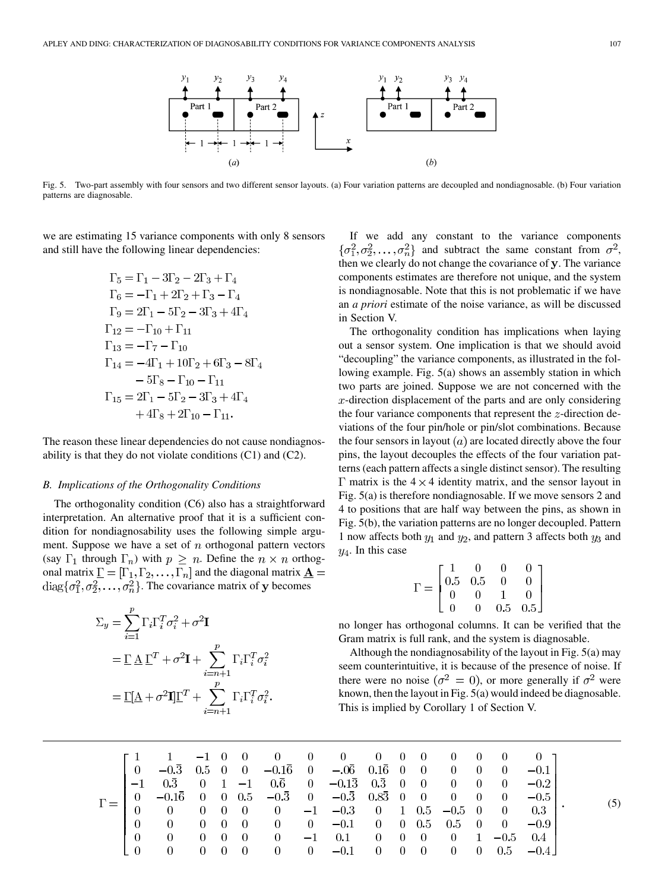

Fig. 5. Two-part assembly with four sensors and two different sensor layouts. (a) Four variation patterns are decoupled and nondiagnosable. (b) Four variation patterns are diagnosable.

we are estimating 15 variance components with only 8 sensors and still have the following linear dependencies:

$$
\Gamma_5 = \Gamma_1 - 3\Gamma_2 - 2\Gamma_3 + \Gamma_4
$$
  
\n
$$
\Gamma_6 = -\Gamma_1 + 2\Gamma_2 + \Gamma_3 - \Gamma_4
$$
  
\n
$$
\Gamma_9 = 2\Gamma_1 - 5\Gamma_2 - 3\Gamma_3 + 4\Gamma_4
$$
  
\n
$$
\Gamma_{12} = -\Gamma_{10} + \Gamma_{11}
$$
  
\n
$$
\Gamma_{13} = -\Gamma_7 - \Gamma_{10}
$$
  
\n
$$
\Gamma_{14} = -4\Gamma_1 + 10\Gamma_2 + 6\Gamma_3 - 8\Gamma_4
$$
  
\n
$$
-5\Gamma_8 - \Gamma_{10} - \Gamma_{11}
$$
  
\n
$$
\Gamma_{15} = 2\Gamma_1 - 5\Gamma_2 - 3\Gamma_3 + 4\Gamma_4
$$
  
\n
$$
+ 4\Gamma_8 + 2\Gamma_{10} - \Gamma_{11}.
$$

The reason these linear dependencies do not cause nondiagnosability is that they do not violate conditions (C1) and (C2).

## *B. Implications of the Orthogonality Conditions*

The orthogonality condition (C6) also has a straightforward interpretation. An alternative proof that it is a sufficient condition for nondiagnosability uses the following simple argument. Suppose we have a set of  $n$  orthogonal pattern vectors (say  $\Gamma_1$  through  $\Gamma_n$ ) with  $p \geq n$ . Define the  $n \times n$  orthogonal matrix  $\underline{\Gamma} = [\Gamma_1, \Gamma_2, \dots, \Gamma_n]$  and the diagonal matrix  $\underline{\mathbf{A}} =$  $\text{diag}\{\sigma_1^2, \sigma_2^2, \ldots, \sigma_n^2\}$ . The covariance matrix of y becomes

$$
\Sigma_y = \sum_{i=1}^p \Gamma_i \Gamma_i^T \sigma_i^2 + \sigma^2 \mathbf{I}
$$
  
=  $\underline{\Gamma} \underline{\mathbf{A}} \underline{\Gamma}^T + \sigma^2 \mathbf{I} + \sum_{i=n+1}^p \Gamma_i \Gamma_i^T \sigma_i^2$   
=  $\underline{\Gamma} [\underline{\mathbf{A}} + \sigma^2 \mathbf{I}] \underline{\Gamma}^T + \sum_{i=n+1}^p \Gamma_i \Gamma_i^T \sigma_i^2$ .

If we add any constant to the variance components  $\{\sigma_1^2, \sigma_2^2, \ldots, \sigma_n^2\}$  and subtract the same constant from  $\sigma^2$ , then we clearly do not change the covariance of  $y$ . The variance components estimates are therefore not unique, and the system is nondiagnosable. Note that this is not problematic if we have an *a priori* estimate of the noise variance, as will be discussed in Section V.

The orthogonality condition has implications when laying out a sensor system. One implication is that we should avoid "decoupling" the variance components, as illustrated in the following example. Fig. 5(a) shows an assembly station in which two parts are joined. Suppose we are not concerned with the  $x$ -direction displacement of the parts and are only considering the four variance components that represent the  $z$ -direction deviations of the four pin/hole or pin/slot combinations. Because the four sensors in layout  $(a)$  are located directly above the four pins, the layout decouples the effects of the four variation patterns (each pattern affects a single distinct sensor). The resulting  $\Gamma$  matrix is the 4  $\times$  4 identity matrix, and the sensor layout in Fig. 5(a) is therefore nondiagnosable. If we move sensors 2 and 4 to positions that are half way between the pins, as shown in Fig. 5(b), the variation patterns are no longer decoupled. Pattern 1 now affects both  $y_1$  and  $y_2$ , and pattern 3 affects both  $y_3$  and  $y_4$ . In this case

$$
\Gamma = \begin{bmatrix} 1 & 0 & 0 & 0 \\ 0.5 & 0.5 & 0 & 0 \\ 0 & 0 & 1 & 0 \\ 0 & 0 & 0.5 & 0.5 \end{bmatrix}
$$

no longer has orthogonal columns. It can be verified that the Gram matrix is full rank, and the system is diagnosable.

Although the nondiagnosability of the layout in Fig. 5(a) may seem counterintuitive, it is because of the presence of noise. If there were no noise ( $\sigma^2 = 0$ ), or more generally if  $\sigma^2$  were known, then the layout in Fig. 5(a) would indeed be diagnosable. This is implied by Corollary 1 of Section V.

$$
\Gamma = \begin{bmatrix}\n1 & 1 & -1 & 0 & 0 & 0 & 0 & 0 & 0 & 0 & 0 & 0 & 0 & 0 & 0 \\
0 & -0.5 & 0.5 & 0 & 0 & -0.1\overline{6} & 0 & -0.0\overline{6} & 0.1\overline{6} & 0 & 0 & 0 & 0 & 0 & -0.1 \\
-1 & 0.5 & 0 & 1 & -1 & 0.6 & 0 & -0.1\overline{3} & 0.3 & 0 & 0 & 0 & 0 & 0 & -0.2 \\
0 & -0.1\overline{6} & 0 & 0 & 0.5 & -0.3 & 0 & -0.3 & 0.8\overline{3} & 0 & 0 & 0 & 0 & 0 & 0 & -0.5 \\
0 & 0 & 0 & 0 & 0 & 0 & -1 & -0.3 & 0 & 1 & 0.5 & -0.5 & 0 & 0 & 0.3 \\
0 & 0 & 0 & 0 & 0 & 0 & 0 & -0.1 & 0 & 0 & 0.5 & 0.5 & 0 & 0 & -0.9 \\
0 & 0 & 0 & 0 & 0 & 0 & -1 & 0.1 & 0 & 0 & 0 & 0 & 1 & -0.5 & 0.4 \\
0 & 0 & 0 & 0 & 0 & 0 & 0 & -0.1 & 0 & 0 & 0 & 0 & 0.5 & -0.4\n\end{bmatrix}.
$$
\n(5)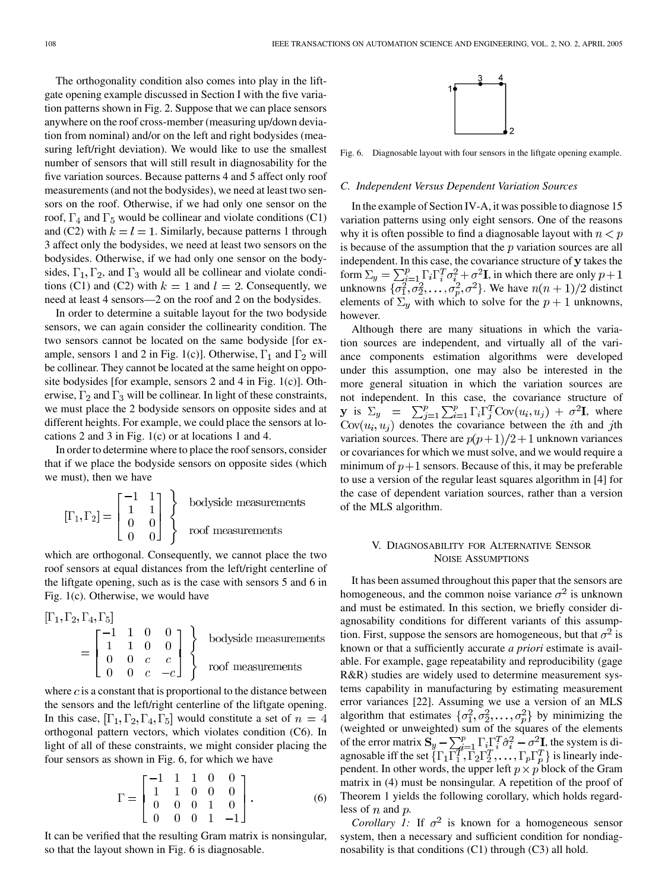The orthogonality condition also comes into play in the liftgate opening example discussed in Section I with the five variation patterns shown in Fig. 2. Suppose that we can place sensors anywhere on the roof cross-member (measuring up/down deviation from nominal) and/or on the left and right bodysides (measuring left/right deviation). We would like to use the smallest number of sensors that will still result in diagnosability for the five variation sources. Because patterns 4 and 5 affect only roof measurements (and not the bodysides), we need at least two sensors on the roof. Otherwise, if we had only one sensor on the roof,  $\Gamma_4$  and  $\Gamma_5$  would be collinear and violate conditions (C1) and (C2) with  $k = l = 1$ . Similarly, because patterns 1 through 3 affect only the bodysides, we need at least two sensors on the bodysides. Otherwise, if we had only one sensor on the bodysides,  $\Gamma_1, \Gamma_2$ , and  $\Gamma_3$  would all be collinear and violate conditions (C1) and (C2) with  $k = 1$  and  $l = 2$ . Consequently, we need at least 4 sensors—2 on the roof and 2 on the bodysides.

In order to determine a suitable layout for the two bodyside sensors, we can again consider the collinearity condition. The two sensors cannot be located on the same bodyside [for example, sensors 1 and 2 in Fig. 1(c)]. Otherwise,  $\Gamma_1$  and  $\Gamma_2$  will be collinear. They cannot be located at the same height on opposite bodysides [for example, sensors 2 and 4 in Fig. 1(c)]. Otherwise,  $\Gamma_2$  and  $\Gamma_3$  will be collinear. In light of these constraints, we must place the 2 bodyside sensors on opposite sides and at different heights. For example, we could place the sensors at locations 2 and 3 in Fig. 1(c) or at locations 1 and 4.

In order to determine where to place the roof sensors, consider that if we place the bodyside sensors on opposite sides (which we must), then we have

$$
[\Gamma_1, \Gamma_2] = \begin{bmatrix} -1 & 1 \\ 1 & 1 \\ 0 & 0 \\ 0 & 0 \end{bmatrix}
$$
bodyside measurements  
of measurements

which are orthogonal. Consequently, we cannot place the two roof sensors at equal distances from the left/right centerline of the liftgate opening, such as is the case with sensors 5 and 6 in Fig. 1(c). Otherwise, we would have

$$
\begin{bmatrix} \Gamma_1, \Gamma_2, \Gamma_4, \Gamma_5 \end{bmatrix} = \begin{bmatrix} -1 & 1 & 0 & 0 \\ 1 & 1 & 0 & 0 \\ 0 & 0 & c & c \\ 0 & 0 & c & -c \end{bmatrix} \begin{Bmatrix} \text{bodyside measurements} \\ \text{roof measurements} \end{Bmatrix}
$$

where  $c$  is a constant that is proportional to the distance between the sensors and the left/right centerline of the liftgate opening. In this case,  $[\Gamma_1, \Gamma_2, \Gamma_4, \Gamma_5]$  would constitute a set of  $n = 4$ orthogonal pattern vectors, which violates condition (C6). In light of all of these constraints, we might consider placing the four sensors as shown in Fig. 6, for which we have

$$
\Gamma = \begin{bmatrix} -1 & 1 & 1 & 0 & 0 \\ 1 & 1 & 0 & 0 & 0 \\ 0 & 0 & 0 & 1 & 0 \\ 0 & 0 & 0 & 1 & -1 \end{bmatrix} . \tag{6}
$$

It can be verified that the resulting Gram matrix is nonsingular, so that the layout shown in Fig. 6 is diagnosable.



Fig. 6. Diagnosable layout with four sensors in the liftgate opening example.

#### *C. Independent Versus Dependent Variation Sources*

In the example of Section IV-A, it was possible to diagnose 15 variation patterns using only eight sensors. One of the reasons why it is often possible to find a diagnosable layout with  $n < p$ is because of the assumption that the  $p$  variation sources are all independent. In this case, the covariance structure of y takes the form  $\Sigma_y = \sum_{i=1}^p \Gamma_i \Gamma_i^T \sigma_i^2 + \sigma^2 \mathbf{I}$ , in which there are only unknowns  $\{\sigma_1^2, \sigma_2^2, \ldots, \sigma_n^2, \sigma^2\}$ . We have  $n(n+1)/2$  distinct elements of  $\Sigma_y$  with which to solve for the  $p + 1$  unknowns, however.

Although there are many situations in which the variation sources are independent, and virtually all of the variance components estimation algorithms were developed under this assumption, one may also be interested in the more general situation in which the variation sources are not independent. In this case, the covariance structure of **y** is  $\Sigma_y$  =  $\sum_{j=1}^p \sum_{i=1}^p \Gamma_i \Gamma_j^T$ Cov $(u_i, u_j) + \sigma^2 \mathbf{I}$ , where  $Cov(u_i, u_j)$  denotes the covariance between the *i*th and *j*th variation sources. There are  $p(p+1)/2+1$  unknown variances or covariances for which we must solve, and we would require a minimum of  $p+1$  sensors. Because of this, it may be preferable to use a version of the regular least squares algorithm in [\[4](#page-8-0)] for the case of dependent variation sources, rather than a version of the MLS algorithm.

## V. DIAGNOSABILITY FOR ALTERNATIVE SENSOR NOISE ASSUMPTIONS

It has been assumed throughout this paper that the sensors are homogeneous, and the common noise variance  $\sigma^2$  is unknown and must be estimated. In this section, we briefly consider diagnosability conditions for different variants of this assumption. First, suppose the sensors are homogeneous, but that  $\sigma^2$  is known or that a sufficiently accurate *a priori* estimate is available. For example, gage repeatability and reproducibility (gage R&R) studies are widely used to determine measurement systems capability in manufacturing by estimating measurement error variances [\[22](#page-9-0)]. Assuming we use a version of an MLS algorithm that estimates  $\{\sigma_1^2, \sigma_2^2, \ldots, \sigma_p^2\}$  by minimizing the (weighted or unweighted) sum of the squares of the elements of the error matrix  $S_y - \sum_{i=1}^p \Gamma_i \Gamma_i^T \hat{\sigma}_i^2 - \sigma^2 I$ , the system is diagnosable iff the set  $\{\Gamma_1\Gamma_1^T, \Gamma_2\Gamma_2^T, \ldots, \Gamma_p\Gamma_p^T\}$  is linearly independent. In other words, the upper left  $p \times p$  block of the Gram matrix in (4) must be nonsingular. A repetition of the proof of Theorem 1 yields the following corollary, which holds regardless of  $n$  and  $p$ .

*Corollary 1:* If  $\sigma^2$  is known for a homogeneous sensor system, then a necessary and sufficient condition for nondiagnosability is that conditions  $(C1)$  through  $(C3)$  all hold.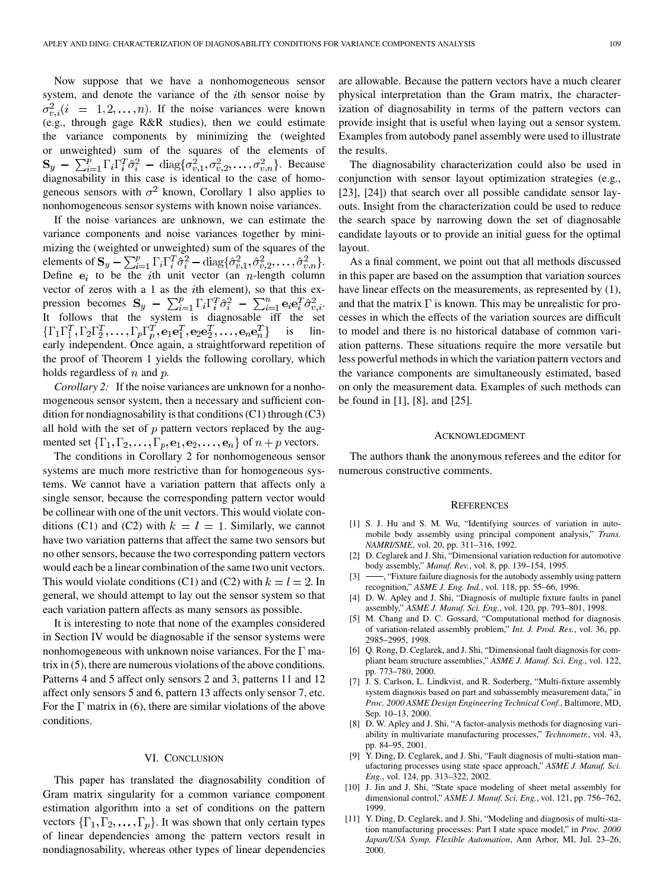<span id="page-8-0"></span>Now suppose that we have a nonhomogeneous sensor system, and denote the variance of the  $i$ th sensor noise by  $\sigma_{n,i}^2(i = 1, 2, \ldots, n)$ . If the noise variances were known (e.g., through gage R&R studies), then we could estimate the variance components by minimizing the (weighted or unweighted) sum of the squares of the elements of . Because diagnosability in this case is identical to the case of homogeneous sensors with  $\sigma^2$  known, Corollary 1 also applies to nonhomogeneous sensor systems with known noise variances.

If the noise variances are unknown, we can estimate the variance components and noise variances together by minimizing the (weighted or unweighted) sum of the squares of the elements of  $\mathbf{S}_y - \sum_{i=1}^p \Gamma_i \Gamma_i^T \hat{\sigma}_i^2 - \text{diag}\{\hat{\sigma}_{v,1}^2, \hat{\sigma}_{v,2}^2, \dots, \hat{\sigma}_{v,n}^2\}.$ Define  $e_i$  to be the *i*th unit vector (an *n*-length column vector of zeros with a 1 as the  $i$ th element), so that this expression becomes  $S_y - \sum_{i=1}^p \Gamma_i \Gamma_i^T \hat{\sigma}_i^2 - \sum_{i=1}^n \mathbf{e}_i \mathbf{e}_i^T \hat{\sigma}_{v,i}^2$ . It follows that the system is diagnosable iff the set  $\{\Gamma_1\Gamma_1^T,\Gamma_2\Gamma_2^T,\ldots,\Gamma_p\Gamma_p^T,\mathbf{e}_1\mathbf{e}_1^T,\mathbf{e}_2\mathbf{e}_2^T,\ldots,\mathbf{e}_n\mathbf{e}_n^T\}$  is linearly independent. Once again, a straightforward repetition of the proof of Theorem 1 yields the following corollary, which holds regardless of  $n$  and  $p$ .

*Corollary 2:* If the noise variances are unknown for a nonhomogeneous sensor system, then a necessary and sufficient condition for nondiagnosability is that conditions (C1) through (C3) all hold with the set of  $p$  pattern vectors replaced by the augmented set  $\{\Gamma_1, \Gamma_2, \ldots, \Gamma_p, \mathbf{e}_1, \mathbf{e}_2, \ldots, \mathbf{e}_n\}$  of  $n + p$  vectors.

The conditions in Corollary 2 for nonhomogeneous sensor systems are much more restrictive than for homogeneous systems. We cannot have a variation pattern that affects only a single sensor, because the corresponding pattern vector would be collinear with one of the unit vectors. This would violate conditions (C1) and (C2) with  $k = l = 1$ . Similarly, we cannot have two variation patterns that affect the same two sensors but no other sensors, because the two corresponding pattern vectors would each be a linear combination of the same two unit vectors. This would violate conditions (C1) and (C2) with  $k = l = 2$ . In general, we should attempt to lay out the sensor system so that each variation pattern affects as many sensors as possible.

It is interesting to note that none of the examples considered in Section IV would be diagnosable if the sensor systems were nonhomogeneous with unknown noise variances. For the  $\Gamma$  matrix in (5), there are numerous violations of the above conditions. Patterns 4 and 5 affect only sensors 2 and 3, patterns 11 and 12 affect only sensors 5 and 6, pattern 13 affects only sensor 7, etc. For the  $\Gamma$  matrix in (6), there are similar violations of the above conditions.

#### VI. CONCLUSION

This paper has translated the diagnosability condition of Gram matrix singularity for a common variance component estimation algorithm into a set of conditions on the pattern vectors  $\{\Gamma_1, \Gamma_2, \ldots, \Gamma_p\}$ . It was shown that only certain types of linear dependencies among the pattern vectors result in nondiagnosability, whereas other types of linear dependencies

are allowable. Because the pattern vectors have a much clearer physical interpretation than the Gram matrix, the characterization of diagnosability in terms of the pattern vectors can provide insight that is useful when laying out a sensor system. Examples from autobody panel assembly were used to illustrate the results.

The diagnosability characterization could also be used in conjunction with sensor layout optimization strategies (e.g., [\[23](#page-9-0)], [\[24](#page-9-0)]) that search over all possible candidate sensor layouts. Insight from the characterization could be used to reduce the search space by narrowing down the set of diagnosable candidate layouts or to provide an initial guess for the optimal layout.

As a final comment, we point out that all methods discussed in this paper are based on the assumption that variation sources have linear effects on the measurements, as represented by (1), and that the matrix  $\Gamma$  is known. This may be unrealistic for processes in which the effects of the variation sources are difficult to model and there is no historical database of common variation patterns. These situations require the more versatile but less powerful methods in which the variation pattern vectors and the variance components are simultaneously estimated, based on only the measurement data. Examples of such methods can be found in [1], [8], and [\[25](#page-9-0)].

#### ACKNOWLEDGMENT

The authors thank the anonymous referees and the editor for numerous constructive comments.

#### **REFERENCES**

- [1] S. J. Hu and S. M. Wu, "Identifying sources of variation in automobile body assembly using principal component analysis," *Trans. NAMRI/SME*, vol. 20, pp. 311–316, 1992.
- [2] D. Ceglarek and J. Shi, "Dimensional variation reduction for automotive body assembly," *Manuf. Rev.*, vol. 8, pp. 139–154, 1995.
- [3]  $\frac{1}{2}$ , "Fixture failure diagnosis for the autobody assembly using pattern recognition," *ASME J. Eng. Ind.*, vol. 118, pp. 55–66, 1996.
- [4] D. W. Apley and J. Shi, "Diagnosis of multiple fixture faults in panel assembly," *ASME J. Manuf. Sci. Eng.*, vol. 120, pp. 793–801, 1998.
- [5] M. Chang and D. C. Gossard, "Computational method for diagnosis of variation-related assembly problem," *Int. J. Prod. Res.*, vol. 36, pp. 2985–2995, 1998.
- [6] Q. Rong, D. Ceglarek, and J. Shi, "Dimensional fault diagnosis for compliant beam structure assemblies," *ASME J. Manuf. Sci. Eng.*, vol. 122, pp. 773–780, 2000.
- [7] J. S. Carlson, L. Lindkvist, and R. Soderberg, "Multi-fixture assembly system diagnosis based on part and subassembly measurement data," in *Proc. 2000 ASME Design Engineering Technical Conf.*, Baltimore, MD, Sep. 10–13, 2000.
- [8] D. W. Apley and J. Shi, "A factor-analysis methods for diagnosing variability in multivariate manufacturing processes," *Technometr.*, vol. 43, pp. 84–95, 2001.
- [9] Y. Ding, D. Ceglarek, and J. Shi, "Fault diagnosis of multi-station manufacturing processes using state space approach," *ASME J. Manuf. Sci. Eng.*, vol. 124, pp. 313–322, 2002.
- [10] J. Jin and J. Shi, "State space modeling of sheet metal assembly for dimensional control," *ASME J. Manuf. Sci. Eng.*, vol. 121, pp. 756–762, 1999.
- [11] Y. Ding, D. Ceglarek, and J. Shi, "Modeling and diagnosis of multi-station manufacturing processes: Part I state space model," in *Proc. 2000 Japan/USA Symp. Flexible Automation*, Ann Arbor, MI, Jul. 23–26, 2000.